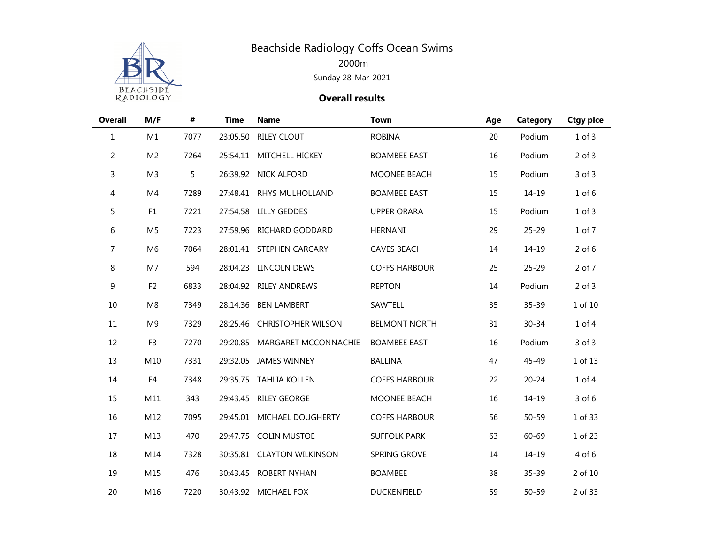

| <b>Overall</b> | M/F            | #    | <b>Time</b> | <b>Name</b>                | <b>Town</b>          | Age | Category  | <b>Ctgy pice</b> |
|----------------|----------------|------|-------------|----------------------------|----------------------|-----|-----------|------------------|
| $\mathbf{1}$   | M1             | 7077 | 23:05.50    | <b>RILEY CLOUT</b>         | <b>ROBINA</b>        | 20  | Podium    | $1$ of $3$       |
| $\overline{a}$ | M <sub>2</sub> | 7264 |             | 25:54.11 MITCHELL HICKEY   | <b>BOAMBEE EAST</b>  | 16  | Podium    | $2$ of $3$       |
| 3              | M <sub>3</sub> | 5    |             | 26:39.92 NICK ALFORD       | MOONEE BEACH         | 15  | Podium    | $3$ of $3$       |
| 4              | M4             | 7289 | 27:48.41    | RHYS MULHOLLAND            | <b>BOAMBEE EAST</b>  | 15  | $14 - 19$ | $1$ of $6$       |
| 5              | F1             | 7221 | 27:54.58    | <b>LILLY GEDDES</b>        | <b>UPPER ORARA</b>   | 15  | Podium    | $1$ of $3$       |
| 6              | M <sub>5</sub> | 7223 | 27:59.96    | RICHARD GODDARD            | <b>HERNANI</b>       | 29  | $25 - 29$ | 1 of 7           |
| 7              | M <sub>6</sub> | 7064 |             | 28:01.41 STEPHEN CARCARY   | <b>CAVES BEACH</b>   | 14  | $14 - 19$ | $2$ of $6$       |
| 8              | M7             | 594  | 28:04.23    | LINCOLN DEWS               | <b>COFFS HARBOUR</b> | 25  | $25 - 29$ | 2 of 7           |
| 9              | F <sub>2</sub> | 6833 |             | 28:04.92 RILEY ANDREWS     | <b>REPTON</b>        | 14  | Podium    | $2$ of $3$       |
| 10             | M8             | 7349 | 28:14.36    | <b>BEN LAMBERT</b>         | SAWTELL              | 35  | $35 - 39$ | 1 of 10          |
| $11\,$         | M <sub>9</sub> | 7329 | 28:25.46    | <b>CHRISTOPHER WILSON</b>  | <b>BELMONT NORTH</b> | 31  | $30 - 34$ | $1$ of $4$       |
| 12             | F <sub>3</sub> | 7270 | 29:20.85    | MARGARET MCCONNACHIE       | <b>BOAMBEE EAST</b>  | 16  | Podium    | $3$ of $3$       |
| 13             | M10            | 7331 | 29:32.05    | <b>JAMES WINNEY</b>        | <b>BALLINA</b>       | 47  | 45-49     | 1 of 13          |
| 14             | F4             | 7348 |             | 29:35.75 TAHLIA KOLLEN     | <b>COFFS HARBOUR</b> | 22  | $20 - 24$ | $1$ of $4$       |
| 15             | M11            | 343  | 29:43.45    | <b>RILEY GEORGE</b>        | MOONEE BEACH         | 16  | $14 - 19$ | 3 of 6           |
| 16             | M12            | 7095 | 29:45.01    | MICHAEL DOUGHERTY          | <b>COFFS HARBOUR</b> | 56  | $50 - 59$ | 1 of 33          |
| 17             | M13            | 470  | 29:47.75    | <b>COLIN MUSTOE</b>        | <b>SUFFOLK PARK</b>  | 63  | 60-69     | 1 of 23          |
| 18             | M14            | 7328 |             | 30:35.81 CLAYTON WILKINSON | SPRING GROVE         | 14  | $14 - 19$ | 4 of 6           |
| 19             | M15            | 476  | 30:43.45    | <b>ROBERT NYHAN</b>        | <b>BOAMBEE</b>       | 38  | 35-39     | 2 of 10          |
| 20             | M16            | 7220 |             | 30:43.92 MICHAEL FOX       | <b>DUCKENFIELD</b>   | 59  | $50 - 59$ | 2 of 33          |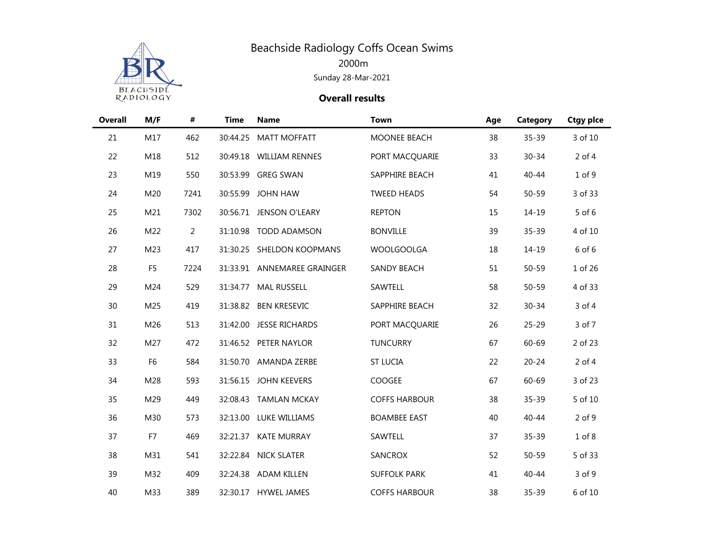

| <b>Overall</b> | M/F            | $\#$           | <b>Time</b> | <b>Name</b>                 | <b>Town</b>          | Age | Category  | <b>Ctgy plce</b> |
|----------------|----------------|----------------|-------------|-----------------------------|----------------------|-----|-----------|------------------|
| 21             | M17            | 462            | 30:44.25    | <b>MATT MOFFATT</b>         | MOONEE BEACH         | 38  | 35-39     | 3 of 10          |
| 22             | M18            | 512            |             | 30:49.18 WILLIAM RENNES     | PORT MACQUARIE       | 33  | $30 - 34$ | $2$ of 4         |
| 23             | M19            | 550            |             | 30:53.99 GREG SWAN          | SAPPHIRE BEACH       | 41  | $40 - 44$ | $1$ of $9$       |
| 24             | M20            | 7241           | 30:55.99    | <b>JOHN HAW</b>             | <b>TWEED HEADS</b>   | 54  | $50 - 59$ | 3 of 33          |
| 25             | M21            | 7302           | 30:56.71    | JENSON O'LEARY              | <b>REPTON</b>        | 15  | $14 - 19$ | 5 of 6           |
| 26             | M22            | $\overline{2}$ | 31:10.98    | <b>TODD ADAMSON</b>         | <b>BONVILLE</b>      | 39  | $35 - 39$ | 4 of 10          |
| 27             | M23            | 417            |             | 31:30.25 SHELDON KOOPMANS   | <b>WOOLGOOLGA</b>    | 18  | $14 - 19$ | 6 of 6           |
| 28             | F <sub>5</sub> | 7224           |             | 31:33.91 ANNEMAREE GRAINGER | <b>SANDY BEACH</b>   | 51  | $50 - 59$ | 1 of 26          |
| 29             | M24            | 529            |             | 31:34.77 MAL RUSSELL        | SAWTELL              | 58  | $50 - 59$ | 4 of 33          |
| 30             | M25            | 419            |             | 31:38.82 BEN KRESEVIC       | SAPPHIRE BEACH       | 32  | $30 - 34$ | 3 of 4           |
| 31             | M26            | 513            | 31:42.00    | <b>JESSE RICHARDS</b>       | PORT MACQUARIE       | 26  | $25 - 29$ | 3 of 7           |
| 32             | M27            | 472            |             | 31:46.52 PETER NAYLOR       | <b>TUNCURRY</b>      | 67  | $60 - 69$ | 2 of 23          |
| 33             | F <sub>6</sub> | 584            |             | 31:50.70 AMANDA ZERBE       | <b>ST LUCIA</b>      | 22  | $20 - 24$ | $2$ of 4         |
| 34             | M28            | 593            |             | 31:56.15 JOHN KEEVERS       | COOGEE               | 67  | 60-69     | 3 of 23          |
| 35             | M29            | 449            |             | 32:08.43 TAMLAN MCKAY       | <b>COFFS HARBOUR</b> | 38  | $35 - 39$ | 5 of 10          |
| 36             | M30            | 573            |             | 32:13.00 LUKE WILLIAMS      | <b>BOAMBEE EAST</b>  | 40  | $40 - 44$ | $2$ of $9$       |
| 37             | F7             | 469            |             | 32:21.37 KATE MURRAY        | SAWTELL              | 37  | $35 - 39$ | $1$ of $8$       |
| 38             | M31            | 541            |             | 32:22.84 NICK SLATER        | SANCROX              | 52  | $50 - 59$ | 5 of 33          |
| 39             | M32            | 409            |             | 32:24.38 ADAM KILLEN        | <b>SUFFOLK PARK</b>  | 41  | $40 - 44$ | 3 of 9           |
| 40             | M33            | 389            |             | 32:30.17 HYWEL JAMES        | <b>COFFS HARBOUR</b> | 38  | $35 - 39$ | 6 of 10          |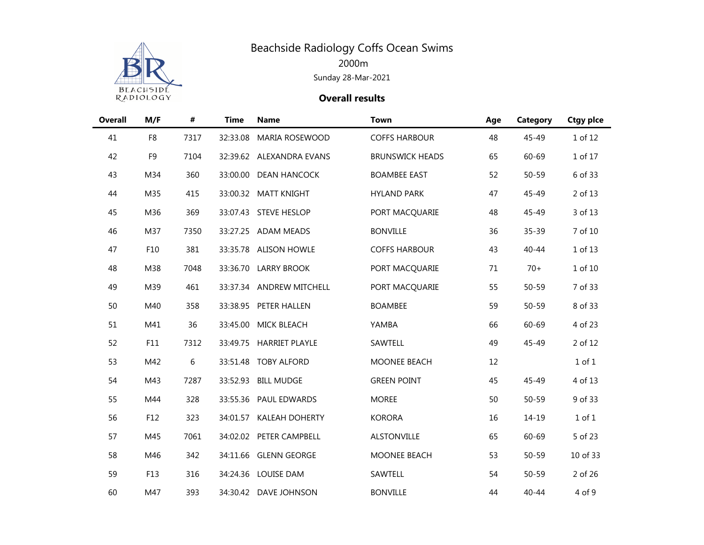

| <b>Overall</b> | M/F            | $\pmb{\#}$ | <b>Time</b> | <b>Name</b>              | <b>Town</b>            | Age | Category  | <b>Ctgy plce</b> |
|----------------|----------------|------------|-------------|--------------------------|------------------------|-----|-----------|------------------|
| 41             | F8             | 7317       | 32:33.08    | MARIA ROSEWOOD           | <b>COFFS HARBOUR</b>   | 48  | 45-49     | 1 of 12          |
| 42             | F <sub>9</sub> | 7104       |             | 32:39.62 ALEXANDRA EVANS | <b>BRUNSWICK HEADS</b> | 65  | 60-69     | 1 of 17          |
| 43             | M34            | 360        |             | 33:00.00 DEAN HANCOCK    | <b>BOAMBEE EAST</b>    | 52  | $50 - 59$ | 6 of 33          |
| 44             | M35            | 415        |             | 33:00.32 MATT KNIGHT     | <b>HYLAND PARK</b>     | 47  | 45-49     | 2 of 13          |
| 45             | M36            | 369        |             | 33:07.43 STEVE HESLOP    | PORT MACQUARIE         | 48  | 45-49     | 3 of 13          |
| 46             | M37            | 7350       |             | 33:27.25 ADAM MEADS      | <b>BONVILLE</b>        | 36  | $35 - 39$ | 7 of 10          |
| 47             | F10            | 381        |             | 33:35.78 ALISON HOWLE    | <b>COFFS HARBOUR</b>   | 43  | $40 - 44$ | 1 of 13          |
| 48             | M38            | 7048       |             | 33:36.70 LARRY BROOK     | PORT MACQUARIE         | 71  | $70+$     | 1 of 10          |
| 49             | M39            | 461        |             | 33:37.34 ANDREW MITCHELL | PORT MACQUARIE         | 55  | $50 - 59$ | 7 of 33          |
| 50             | M40            | 358        |             | 33:38.95 PETER HALLEN    | <b>BOAMBEE</b>         | 59  | $50 - 59$ | 8 of 33          |
| 51             | M41            | 36         | 33:45.00    | MICK BLEACH              | YAMBA                  | 66  | 60-69     | 4 of 23          |
| 52             | F11            | 7312       |             | 33:49.75 HARRIET PLAYLE  | SAWTELL                | 49  | 45-49     | 2 of 12          |
| 53             | M42            | 6          |             | 33:51.48 TOBY ALFORD     | MOONEE BEACH           | 12  |           | $1$ of $1$       |
| 54             | M43            | 7287       |             | 33:52.93 BILL MUDGE      | <b>GREEN POINT</b>     | 45  | 45-49     | 4 of 13          |
| 55             | M44            | 328        |             | 33:55.36 PAUL EDWARDS    | <b>MOREE</b>           | 50  | $50 - 59$ | 9 of 33          |
| 56             | F12            | 323        |             | 34:01.57 KALEAH DOHERTY  | <b>KORORA</b>          | 16  | $14 - 19$ | 1 of 1           |
| 57             | M45            | 7061       |             | 34:02.02 PETER CAMPBELL  | <b>ALSTONVILLE</b>     | 65  | 60-69     | 5 of 23          |
| 58             | M46            | 342        |             | 34:11.66 GLENN GEORGE    | MOONEE BEACH           | 53  | $50 - 59$ | 10 of 33         |
| 59             | F13            | 316        |             | 34:24.36 LOUISE DAM      | SAWTELL                | 54  | $50 - 59$ | 2 of 26          |
| 60             | M47            | 393        |             | 34:30.42 DAVE JOHNSON    | <b>BONVILLE</b>        | 44  | $40 - 44$ | 4 of 9           |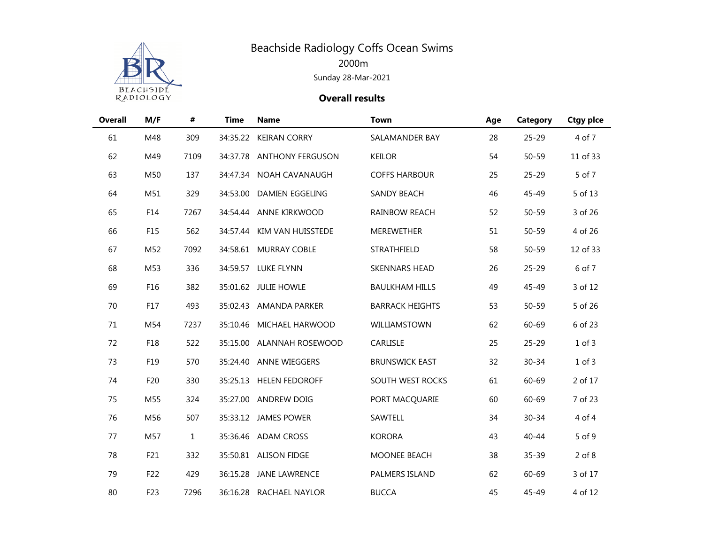

| <b>Overall</b> | M/F | $\pmb{\#}$   | <b>Time</b> | <b>Name</b>               | <b>Town</b>            | Age | Category  | <b>Ctgy plce</b> |
|----------------|-----|--------------|-------------|---------------------------|------------------------|-----|-----------|------------------|
| 61             | M48 | 309          | 34:35.22    | <b>KEIRAN CORRY</b>       | SALAMANDER BAY         | 28  | $25 - 29$ | 4 of 7           |
| 62             | M49 | 7109         |             | 34:37.78 ANTHONY FERGUSON | <b>KEILOR</b>          | 54  | $50 - 59$ | 11 of 33         |
| 63             | M50 | 137          |             | 34:47.34 NOAH CAVANAUGH   | <b>COFFS HARBOUR</b>   | 25  | $25 - 29$ | 5 of 7           |
| 64             | M51 | 329          |             | 34:53.00 DAMIEN EGGELING  | <b>SANDY BEACH</b>     | 46  | 45-49     | 5 of 13          |
| 65             | F14 | 7267         | 34:54.44    | ANNE KIRKWOOD             | <b>RAINBOW REACH</b>   | 52  | $50 - 59$ | 3 of 26          |
| 66             | F15 | 562          | 34:57.44    | KIM VAN HUISSTEDE         | MEREWETHER             | 51  | $50 - 59$ | 4 of 26          |
| 67             | M52 | 7092         |             | 34:58.61 MURRAY COBLE     | STRATHFIELD            | 58  | $50 - 59$ | 12 of 33         |
| 68             | M53 | 336          |             | 34:59.57 LUKE FLYNN       | <b>SKENNARS HEAD</b>   | 26  | $25 - 29$ | 6 of 7           |
| 69             | F16 | 382          |             | 35:01.62 JULIE HOWLE      | <b>BAULKHAM HILLS</b>  | 49  | 45-49     | 3 of 12          |
| 70             | F17 | 493          |             | 35:02.43 AMANDA PARKER    | <b>BARRACK HEIGHTS</b> | 53  | $50 - 59$ | 5 of 26          |
| 71             | M54 | 7237         | 35:10.46    | MICHAEL HARWOOD           | WILLIAMSTOWN           | 62  | 60-69     | 6 of 23          |
| 72             | F18 | 522          |             | 35:15.00 ALANNAH ROSEWOOD | CARLISLE               | 25  | $25 - 29$ | $1$ of $3$       |
| 73             | F19 | 570          |             | 35:24.40 ANNE WIEGGERS    | <b>BRUNSWICK EAST</b>  | 32  | $30 - 34$ | 1 of 3           |
| 74             | F20 | 330          |             | 35:25.13 HELEN FEDOROFF   | SOUTH WEST ROCKS       | 61  | 60-69     | 2 of 17          |
| 75             | M55 | 324          |             | 35:27.00 ANDREW DOIG      | PORT MACQUARIE         | 60  | 60-69     | 7 of 23          |
| 76             | M56 | 507          |             | 35:33.12 JAMES POWER      | SAWTELL                | 34  | $30 - 34$ | 4 of 4           |
| 77             | M57 | $\mathbf{1}$ |             | 35:36.46 ADAM CROSS       | <b>KORORA</b>          | 43  | 40-44     | 5 of 9           |
| 78             | F21 | 332          |             | 35:50.81 ALISON FIDGE     | MOONEE BEACH           | 38  | $35 - 39$ | $2$ of $8$       |
| 79             | F22 | 429          | 36:15.28    | <b>JANE LAWRENCE</b>      | PALMERS ISLAND         | 62  | 60-69     | 3 of 17          |
| 80             | F23 | 7296         |             | 36:16.28 RACHAEL NAYLOR   | <b>BUCCA</b>           | 45  | 45-49     | 4 of 12          |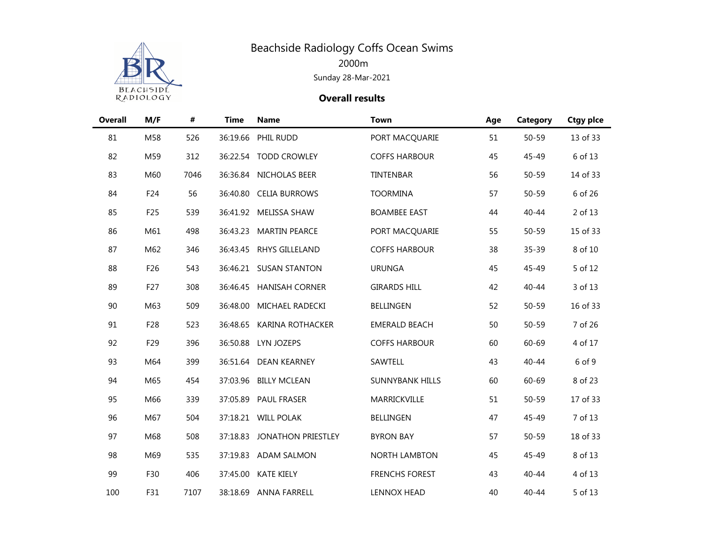

| <b>Overall</b> | M/F | #    | <b>Time</b> | <b>Name</b>               | <b>Town</b>            | Age | Category  | <b>Ctgy pice</b> |
|----------------|-----|------|-------------|---------------------------|------------------------|-----|-----------|------------------|
| 81             | M58 | 526  | 36:19.66    | PHIL RUDD                 | PORT MACQUARIE         | 51  | $50 - 59$ | 13 of 33         |
| 82             | M59 | 312  |             | 36:22.54 TODD CROWLEY     | <b>COFFS HARBOUR</b>   | 45  | 45-49     | 6 of 13          |
| 83             | M60 | 7046 |             | 36:36.84 NICHOLAS BEER    | TINTENBAR              | 56  | $50 - 59$ | 14 of 33         |
| 84             | F24 | 56   |             | 36:40.80 CELIA BURROWS    | <b>TOORMINA</b>        | 57  | $50 - 59$ | 6 of 26          |
| 85             | F25 | 539  |             | 36:41.92 MELISSA SHAW     | <b>BOAMBEE EAST</b>    | 44  | $40 - 44$ | 2 of 13          |
| 86             | M61 | 498  | 36:43.23    | <b>MARTIN PEARCE</b>      | PORT MACQUARIE         | 55  | $50 - 59$ | 15 of 33         |
| 87             | M62 | 346  |             | 36:43.45 RHYS GILLELAND   | <b>COFFS HARBOUR</b>   | 38  | $35 - 39$ | 8 of 10          |
| 88             | F26 | 543  |             | 36:46.21 SUSAN STANTON    | <b>URUNGA</b>          | 45  | 45-49     | 5 of 12          |
| 89             | F27 | 308  |             | 36:46.45 HANISAH CORNER   | <b>GIRARDS HILL</b>    | 42  | $40 - 44$ | 3 of 13          |
| 90             | M63 | 509  | 36:48.00    | MICHAEL RADECKI           | <b>BELLINGEN</b>       | 52  | $50 - 59$ | 16 of 33         |
| 91             | F28 | 523  | 36:48.65    | <b>KARINA ROTHACKER</b>   | <b>EMERALD BEACH</b>   | 50  | $50 - 59$ | 7 of 26          |
| 92             | F29 | 396  |             | 36:50.88 LYN JOZEPS       | <b>COFFS HARBOUR</b>   | 60  | 60-69     | 4 of 17          |
| 93             | M64 | 399  |             | 36:51.64 DEAN KEARNEY     | SAWTELL                | 43  | $40 - 44$ | 6 of 9           |
| 94             | M65 | 454  |             | 37:03.96 BILLY MCLEAN     | <b>SUNNYBANK HILLS</b> | 60  | 60-69     | 8 of 23          |
| 95             | M66 | 339  |             | 37:05.89 PAUL FRASER      | MARRICKVILLE           | 51  | $50 - 59$ | 17 of 33         |
| 96             | M67 | 504  |             | 37:18.21 WILL POLAK       | <b>BELLINGEN</b>       | 47  | 45-49     | 7 of 13          |
| 97             | M68 | 508  | 37:18.83    | <b>JONATHON PRIESTLEY</b> | <b>BYRON BAY</b>       | 57  | $50 - 59$ | 18 of 33         |
| 98             | M69 | 535  |             | 37:19.83 ADAM SALMON      | <b>NORTH LAMBTON</b>   | 45  | 45-49     | 8 of 13          |
| 99             | F30 | 406  | 37:45.00    | <b>KATE KIELY</b>         | <b>FRENCHS FOREST</b>  | 43  | $40 - 44$ | 4 of 13          |
| 100            | F31 | 7107 |             | 38:18.69 ANNA FARRELL     | <b>LENNOX HEAD</b>     | 40  | $40 - 44$ | 5 of 13          |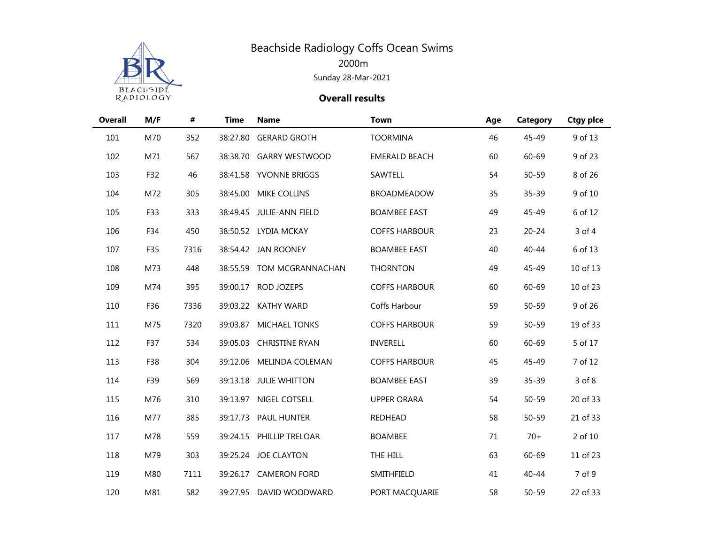

| <b>Overall</b> | M/F | $\pmb{\#}$ | <b>Time</b> | <b>Name</b>              | <b>Town</b>          | Age | Category  | <b>Ctgy pice</b> |
|----------------|-----|------------|-------------|--------------------------|----------------------|-----|-----------|------------------|
| 101            | M70 | 352        | 38:27.80    | <b>GERARD GROTH</b>      | <b>TOORMINA</b>      | 46  | 45-49     | 9 of 13          |
| 102            | M71 | 567        |             | 38:38.70 GARRY WESTWOOD  | <b>EMERALD BEACH</b> | 60  | 60-69     | 9 of 23          |
| 103            | F32 | 46         |             | 38:41.58 YVONNE BRIGGS   | SAWTELL              | 54  | $50 - 59$ | 8 of 26          |
| 104            | M72 | 305        | 38:45.00    | MIKE COLLINS             | <b>BROADMEADOW</b>   | 35  | 35-39     | 9 of 10          |
| 105            | F33 | 333        |             | 38:49.45 JULIE-ANN FIELD | <b>BOAMBEE EAST</b>  | 49  | 45-49     | 6 of 12          |
| 106            | F34 | 450        |             | 38:50.52 LYDIA MCKAY     | <b>COFFS HARBOUR</b> | 23  | $20 - 24$ | 3 of 4           |
| 107            | F35 | 7316       | 38:54.42    | <b>JAN ROONEY</b>        | <b>BOAMBEE EAST</b>  | 40  | $40 - 44$ | 6 of 13          |
| 108            | M73 | 448        | 38:55.59    | TOM MCGRANNACHAN         | <b>THORNTON</b>      | 49  | 45-49     | 10 of 13         |
| 109            | M74 | 395        | 39:00.17    | ROD JOZEPS               | <b>COFFS HARBOUR</b> | 60  | 60-69     | 10 of 23         |
| 110            | F36 | 7336       | 39:03.22    | <b>KATHY WARD</b>        | Coffs Harbour        | 59  | $50 - 59$ | 9 of 26          |
| 111            | M75 | 7320       | 39:03.87    | MICHAEL TONKS            | <b>COFFS HARBOUR</b> | 59  | $50 - 59$ | 19 of 33         |
| 112            | F37 | 534        | 39:05.03    | <b>CHRISTINE RYAN</b>    | INVERELL             | 60  | 60-69     | 5 of 17          |
| 113            | F38 | 304        | 39:12.06    | MELINDA COLEMAN          | <b>COFFS HARBOUR</b> | 45  | 45-49     | 7 of 12          |
| 114            | F39 | 569        |             | 39:13.18 JULIE WHITTON   | <b>BOAMBEE EAST</b>  | 39  | $35 - 39$ | 3 of 8           |
| 115            | M76 | 310        | 39:13.97    | NIGEL COTSELL            | <b>UPPER ORARA</b>   | 54  | $50 - 59$ | 20 of 33         |
| 116            | M77 | 385        |             | 39:17.73 PAUL HUNTER     | <b>REDHEAD</b>       | 58  | $50 - 59$ | 21 of 33         |
| 117            | M78 | 559        | 39:24.15    | PHILLIP TRELOAR          | <b>BOAMBEE</b>       | 71  | $70+$     | 2 of 10          |
| 118            | M79 | 303        |             | 39:25.24 JOE CLAYTON     | THE HILL             | 63  | $60 - 69$ | 11 of 23         |
| 119            | M80 | 7111       | 39:26.17    | <b>CAMERON FORD</b>      | SMITHFIELD           | 41  | $40 - 44$ | 7 of 9           |
| 120            | M81 | 582        |             | 39:27.95 DAVID WOODWARD  | PORT MACQUARIE       | 58  | $50 - 59$ | 22 of 33         |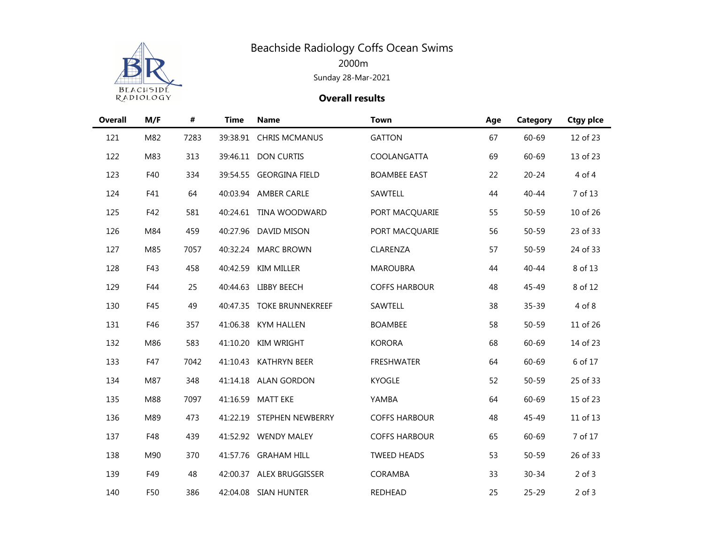

| <b>Overall</b> | M/F | $\pmb{\#}$ | <b>Time</b> | <b>Name</b>               | <b>Town</b>          | Age | Category  | <b>Ctgy pice</b> |
|----------------|-----|------------|-------------|---------------------------|----------------------|-----|-----------|------------------|
| 121            | M82 | 7283       |             | 39:38.91 CHRIS MCMANUS    | <b>GATTON</b>        | 67  | 60-69     | 12 of 23         |
| 122            | M83 | 313        |             | 39:46.11 DON CURTIS       | COOLANGATTA          | 69  | 60-69     | 13 of 23         |
| 123            | F40 | 334        |             | 39:54.55 GEORGINA FIELD   | <b>BOAMBEE EAST</b>  | 22  | $20 - 24$ | 4 of 4           |
| 124            | F41 | 64         |             | 40:03.94 AMBER CARLE      | SAWTELL              | 44  | $40 - 44$ | 7 of 13          |
| 125            | F42 | 581        |             | 40:24.61 TINA WOODWARD    | PORT MACQUARIE       | 55  | $50 - 59$ | 10 of 26         |
| 126            | M84 | 459        |             | 40:27.96 DAVID MISON      | PORT MACQUARIE       | 56  | $50 - 59$ | 23 of 33         |
| 127            | M85 | 7057       |             | 40:32.24 MARC BROWN       | CLARENZA             | 57  | $50 - 59$ | 24 of 33         |
| 128            | F43 | 458        | 40:42.59    | KIM MILLER                | <b>MAROUBRA</b>      | 44  | $40 - 44$ | 8 of 13          |
| 129            | F44 | 25         |             | 40:44.63 LIBBY BEECH      | <b>COFFS HARBOUR</b> | 48  | 45-49     | 8 of 12          |
| 130            | F45 | 49         |             | 40:47.35 TOKE BRUNNEKREEF | SAWTELL              | 38  | $35 - 39$ | 4 of 8           |
| 131            | F46 | 357        | 41:06.38    | <b>KYM HALLEN</b>         | <b>BOAMBEE</b>       | 58  | $50 - 59$ | 11 of 26         |
| 132            | M86 | 583        | 41:10.20    | <b>KIM WRIGHT</b>         | <b>KORORA</b>        | 68  | 60-69     | 14 of 23         |
| 133            | F47 | 7042       |             | 41:10.43 KATHRYN BEER     | <b>FRESHWATER</b>    | 64  | 60-69     | 6 of 17          |
| 134            | M87 | 348        |             | 41:14.18 ALAN GORDON      | <b>KYOGLE</b>        | 52  | $50 - 59$ | 25 of 33         |
| 135            | M88 | 7097       | 41:16.59    | <b>MATT EKE</b>           | YAMBA                | 64  | 60-69     | 15 of 23         |
| 136            | M89 | 473        |             | 41:22.19 STEPHEN NEWBERRY | <b>COFFS HARBOUR</b> | 48  | 45-49     | 11 of 13         |
| 137            | F48 | 439        |             | 41:52.92 WENDY MALEY      | <b>COFFS HARBOUR</b> | 65  | $60 - 69$ | 7 of 17          |
| 138            | M90 | 370        |             | 41:57.76 GRAHAM HILL      | <b>TWEED HEADS</b>   | 53  | $50 - 59$ | 26 of 33         |
| 139            | F49 | 48         |             | 42:00.37 ALEX BRUGGISSER  | CORAMBA              | 33  | $30 - 34$ | $2$ of $3$       |
| 140            | F50 | 386        |             | 42:04.08 SIAN HUNTER      | REDHEAD              | 25  | $25 - 29$ | $2$ of $3$       |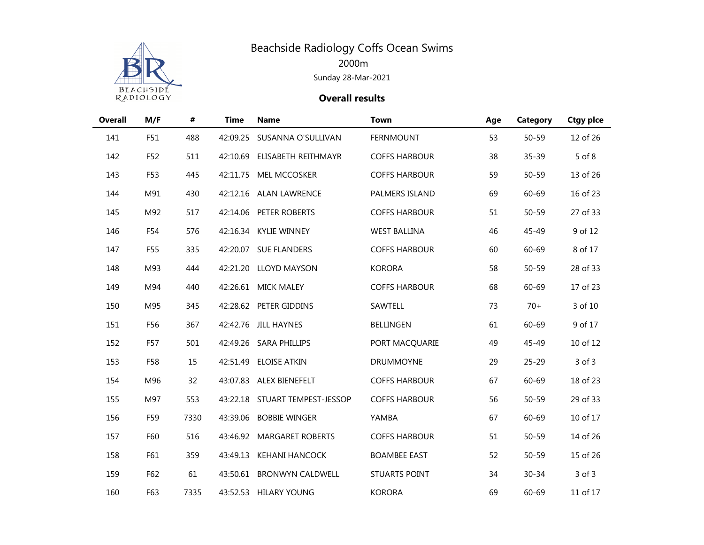

| <b>Overall</b> | M/F | #    | <b>Time</b> | <b>Name</b>                    | <b>Town</b>          | Age | Category  | <b>Ctgy pice</b> |
|----------------|-----|------|-------------|--------------------------------|----------------------|-----|-----------|------------------|
| 141            | F51 | 488  | 42:09.25    | SUSANNA O'SULLIVAN             | <b>FERNMOUNT</b>     | 53  | $50 - 59$ | 12 of 26         |
| 142            | F52 | 511  |             | 42:10.69 ELISABETH REITHMAYR   | <b>COFFS HARBOUR</b> | 38  | 35-39     | 5 of 8           |
| 143            | F53 | 445  |             | 42:11.75 MEL MCCOSKER          | <b>COFFS HARBOUR</b> | 59  | 50-59     | 13 of 26         |
| 144            | M91 | 430  |             | 42:12.16 ALAN LAWRENCE         | PALMERS ISLAND       | 69  | 60-69     | 16 of 23         |
| 145            | M92 | 517  |             | 42:14.06 PETER ROBERTS         | <b>COFFS HARBOUR</b> | 51  | 50-59     | 27 of 33         |
| 146            | F54 | 576  | 42:16.34    | <b>KYLIE WINNEY</b>            | <b>WEST BALLINA</b>  | 46  | 45-49     | 9 of 12          |
| 147            | F55 | 335  | 42:20.07    | <b>SUE FLANDERS</b>            | <b>COFFS HARBOUR</b> | 60  | 60-69     | 8 of 17          |
| 148            | M93 | 444  |             | 42:21.20 LLOYD MAYSON          | <b>KORORA</b>        | 58  | $50 - 59$ | 28 of 33         |
| 149            | M94 | 440  |             | 42:26.61 MICK MALEY            | <b>COFFS HARBOUR</b> | 68  | $60 - 69$ | 17 of 23         |
| 150            | M95 | 345  |             | 42:28.62 PETER GIDDINS         | SAWTELL              | 73  | $70+$     | 3 of 10          |
| 151            | F56 | 367  | 42:42.76    | <b>JILL HAYNES</b>             | <b>BELLINGEN</b>     | 61  | 60-69     | 9 of 17          |
| 152            | F57 | 501  |             | 42:49.26 SARA PHILLIPS         | PORT MACQUARIE       | 49  | 45-49     | 10 of 12         |
| 153            | F58 | 15   | 42:51.49    | <b>ELOISE ATKIN</b>            | <b>DRUMMOYNE</b>     | 29  | $25 - 29$ | $3$ of $3$       |
| 154            | M96 | 32   |             | 43:07.83 ALEX BIENEFELT        | <b>COFFS HARBOUR</b> | 67  | 60-69     | 18 of 23         |
| 155            | M97 | 553  |             | 43:22.18 STUART TEMPEST-JESSOP | <b>COFFS HARBOUR</b> | 56  | $50 - 59$ | 29 of 33         |
| 156            | F59 | 7330 |             | 43:39.06 BOBBIE WINGER         | YAMBA                | 67  | $60 - 69$ | 10 of 17         |
| 157            | F60 | 516  |             | 43:46.92 MARGARET ROBERTS      | <b>COFFS HARBOUR</b> | 51  | $50 - 59$ | 14 of 26         |
| 158            | F61 | 359  | 43:49.13    | <b>KEHANI HANCOCK</b>          | <b>BOAMBEE EAST</b>  | 52  | $50 - 59$ | 15 of 26         |
| 159            | F62 | 61   | 43:50.61    | <b>BRONWYN CALDWELL</b>        | <b>STUARTS POINT</b> | 34  | $30 - 34$ | $3$ of $3$       |
| 160            | F63 | 7335 |             | 43:52.53 HILARY YOUNG          | <b>KORORA</b>        | 69  | 60-69     | 11 of 17         |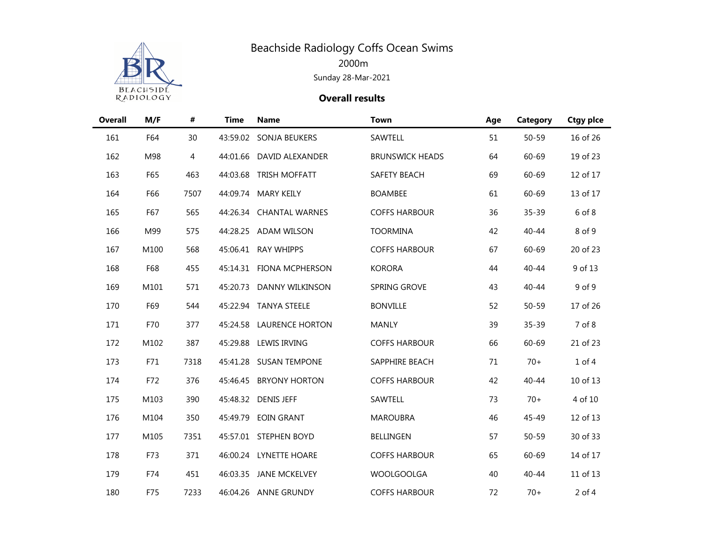

| <b>Overall</b> | M/F  | #    | <b>Time</b> | <b>Name</b>              | <b>Town</b>            | Age | Category  | <b>Ctgy pice</b> |
|----------------|------|------|-------------|--------------------------|------------------------|-----|-----------|------------------|
| 161            | F64  | 30   |             | 43:59.02 SONJA BEUKERS   | SAWTELL                | 51  | $50 - 59$ | 16 of 26         |
| 162            | M98  | 4    |             | 44:01.66 DAVID ALEXANDER | <b>BRUNSWICK HEADS</b> | 64  | 60-69     | 19 of 23         |
| 163            | F65  | 463  | 44:03.68    | <b>TRISH MOFFATT</b>     | SAFETY BEACH           | 69  | $60 - 69$ | 12 of 17         |
| 164            | F66  | 7507 | 44:09.74    | <b>MARY KEILY</b>        | <b>BOAMBEE</b>         | 61  | $60 - 69$ | 13 of 17         |
| 165            | F67  | 565  | 44:26.34    | <b>CHANTAL WARNES</b>    | <b>COFFS HARBOUR</b>   | 36  | 35-39     | 6 of 8           |
| 166            | M99  | 575  |             | 44:28.25 ADAM WILSON     | <b>TOORMINA</b>        | 42  | $40 - 44$ | 8 of 9           |
| 167            | M100 | 568  |             | 45:06.41 RAY WHIPPS      | <b>COFFS HARBOUR</b>   | 67  | 60-69     | 20 of 23         |
| 168            | F68  | 455  |             | 45:14.31 FIONA MCPHERSON | <b>KORORA</b>          | 44  | $40 - 44$ | 9 of 13          |
| 169            | M101 | 571  | 45:20.73    | DANNY WILKINSON          | SPRING GROVE           | 43  | $40 - 44$ | 9 of 9           |
| 170            | F69  | 544  |             | 45:22.94 TANYA STEELE    | <b>BONVILLE</b>        | 52  | $50 - 59$ | 17 of 26         |
| 171            | F70  | 377  | 45:24.58    | <b>LAURENCE HORTON</b>   | <b>MANLY</b>           | 39  | $35 - 39$ | 7 of 8           |
| 172            | M102 | 387  |             | 45:29.88 LEWIS IRVING    | <b>COFFS HARBOUR</b>   | 66  | 60-69     | 21 of 23         |
| 173            | F71  | 7318 | 45:41.28    | <b>SUSAN TEMPONE</b>     | SAPPHIRE BEACH         | 71  | $70+$     | $1$ of $4$       |
| 174            | F72  | 376  |             | 45:46.45 BRYONY HORTON   | <b>COFFS HARBOUR</b>   | 42  | $40 - 44$ | 10 of 13         |
| 175            | M103 | 390  |             | 45:48.32 DENIS JEFF      | SAWTELL                | 73  | $70+$     | 4 of 10          |
| 176            | M104 | 350  | 45:49.79    | <b>EOIN GRANT</b>        | <b>MAROUBRA</b>        | 46  | 45-49     | 12 of 13         |
| 177            | M105 | 7351 |             | 45:57.01 STEPHEN BOYD    | <b>BELLINGEN</b>       | 57  | $50 - 59$ | 30 of 33         |
| 178            | F73  | 371  |             | 46:00.24 LYNETTE HOARE   | <b>COFFS HARBOUR</b>   | 65  | 60-69     | 14 of 17         |
| 179            | F74  | 451  |             | 46:03.35 JANE MCKELVEY   | <b>WOOLGOOLGA</b>      | 40  | $40 - 44$ | 11 of 13         |
| 180            | F75  | 7233 |             | 46:04.26 ANNE GRUNDY     | <b>COFFS HARBOUR</b>   | 72  | $70+$     | $2$ of 4         |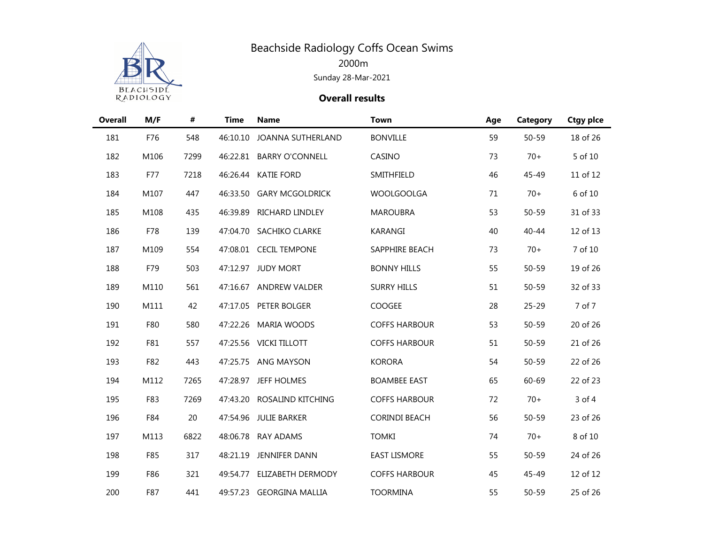

| <b>Overall</b> | M/F  | #    | <b>Time</b> | <b>Name</b>              | <b>Town</b>          | Age | Category  | <b>Ctgy pice</b> |
|----------------|------|------|-------------|--------------------------|----------------------|-----|-----------|------------------|
| 181            | F76  | 548  | 46:10.10    | JOANNA SUTHERLAND        | <b>BONVILLE</b>      | 59  | $50 - 59$ | 18 of 26         |
| 182            | M106 | 7299 |             | 46:22.81 BARRY O'CONNELL | CASINO               | 73  | $70+$     | 5 of 10          |
| 183            | F77  | 7218 |             | 46:26.44 KATIE FORD      | SMITHFIELD           | 46  | 45-49     | 11 of 12         |
| 184            | M107 | 447  | 46:33.50    | <b>GARY MCGOLDRICK</b>   | <b>WOOLGOOLGA</b>    | 71  | $70+$     | 6 of 10          |
| 185            | M108 | 435  | 46:39.89    | RICHARD LINDLEY          | <b>MAROUBRA</b>      | 53  | $50 - 59$ | 31 of 33         |
| 186            | F78  | 139  |             | 47:04.70 SACHIKO CLARKE  | KARANGI              | 40  | $40 - 44$ | 12 of 13         |
| 187            | M109 | 554  |             | 47:08.01 CECIL TEMPONE   | SAPPHIRE BEACH       | 73  | $70+$     | 7 of 10          |
| 188            | F79  | 503  |             | 47:12.97 JUDY MORT       | <b>BONNY HILLS</b>   | 55  | $50 - 59$ | 19 of 26         |
| 189            | M110 | 561  |             | 47:16.67 ANDREW VALDER   | <b>SURRY HILLS</b>   | 51  | $50 - 59$ | 32 of 33         |
| 190            | M111 | 42   |             | 47:17.05 PETER BOLGER    | COOGEE               | 28  | $25 - 29$ | 7 of 7           |
| 191            | F80  | 580  | 47:22.26    | <b>MARIA WOODS</b>       | <b>COFFS HARBOUR</b> | 53  | $50 - 59$ | 20 of 26         |
| 192            | F81  | 557  |             | 47:25.56 VICKI TILLOTT   | <b>COFFS HARBOUR</b> | 51  | $50 - 59$ | 21 of 26         |
| 193            | F82  | 443  |             | 47:25.75 ANG MAYSON      | <b>KORORA</b>        | 54  | $50 - 59$ | 22 of 26         |
| 194            | M112 | 7265 |             | 47:28.97 JEFF HOLMES     | <b>BOAMBEE EAST</b>  | 65  | 60-69     | 22 of 23         |
| 195            | F83  | 7269 | 47:43.20    | ROSALIND KITCHING        | <b>COFFS HARBOUR</b> | 72  | $70+$     | 3 of 4           |
| 196            | F84  | 20   | 47:54.96    | <b>JULIE BARKER</b>      | <b>CORINDI BEACH</b> | 56  | $50 - 59$ | 23 of 26         |
| 197            | M113 | 6822 | 48:06.78    | <b>RAY ADAMS</b>         | <b>TOMKI</b>         | 74  | $70+$     | 8 of 10          |
| 198            | F85  | 317  | 48:21.19    | JENNIFER DANN            | <b>EAST LISMORE</b>  | 55  | $50 - 59$ | 24 of 26         |
| 199            | F86  | 321  | 49:54.77    | ELIZABETH DERMODY        | <b>COFFS HARBOUR</b> | 45  | 45-49     | 12 of 12         |
| 200            | F87  | 441  |             | 49:57.23 GEORGINA MALLIA | <b>TOORMINA</b>      | 55  | $50 - 59$ | 25 of 26         |